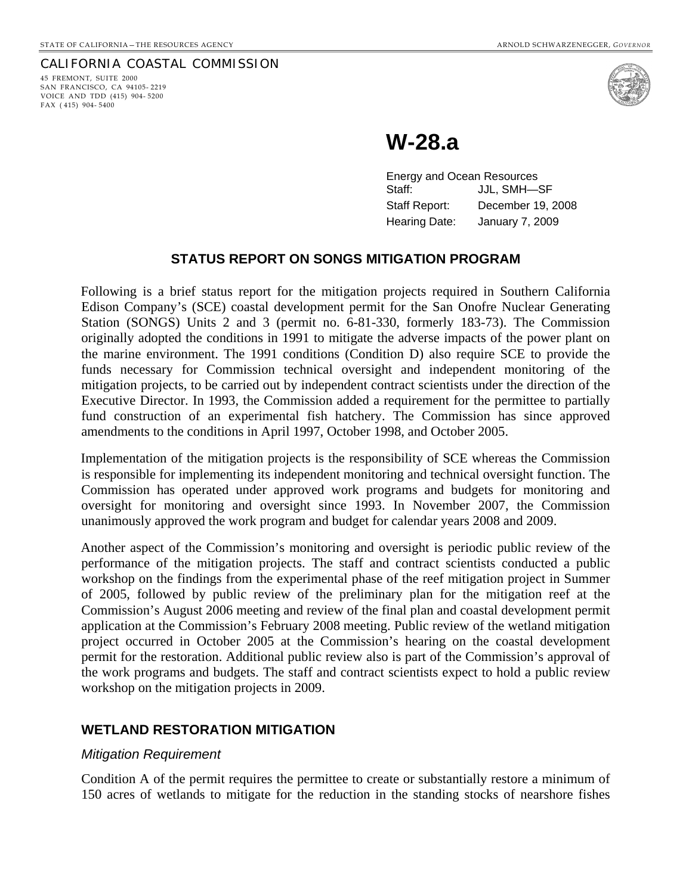#### CALIFORNIA COASTAL COMMISSION

45 FREMONT, SUITE 2000 SAN FRANCISCO, CA 94105- 2219 VOICE AND TDD (415) 904- 5200 FAX ( 415) 904- 5400



# **W-28.a**

Energy and Ocean Resources Staff: JJL, SMH—SF Staff Report: December 19, 2008 Hearing Date: January 7, 2009

#### **STATUS REPORT ON SONGS MITIGATION PROGRAM**

Following is a brief status report for the mitigation projects required in Southern California Edison Company's (SCE) coastal development permit for the San Onofre Nuclear Generating Station (SONGS) Units 2 and 3 (permit no. 6-81-330, formerly 183-73). The Commission originally adopted the conditions in 1991 to mitigate the adverse impacts of the power plant on the marine environment. The 1991 conditions (Condition D) also require SCE to provide the funds necessary for Commission technical oversight and independent monitoring of the mitigation projects, to be carried out by independent contract scientists under the direction of the Executive Director. In 1993, the Commission added a requirement for the permittee to partially fund construction of an experimental fish hatchery. The Commission has since approved amendments to the conditions in April 1997, October 1998, and October 2005.

Implementation of the mitigation projects is the responsibility of SCE whereas the Commission is responsible for implementing its independent monitoring and technical oversight function. The Commission has operated under approved work programs and budgets for monitoring and oversight for monitoring and oversight since 1993. In November 2007, the Commission unanimously approved the work program and budget for calendar years 2008 and 2009.

Another aspect of the Commission's monitoring and oversight is periodic public review of the performance of the mitigation projects. The staff and contract scientists conducted a public workshop on the findings from the experimental phase of the reef mitigation project in Summer of 2005, followed by public review of the preliminary plan for the mitigation reef at the Commission's August 2006 meeting and review of the final plan and coastal development permit application at the Commission's February 2008 meeting. Public review of the wetland mitigation project occurred in October 2005 at the Commission's hearing on the coastal development permit for the restoration. Additional public review also is part of the Commission's approval of the work programs and budgets. The staff and contract scientists expect to hold a public review workshop on the mitigation projects in 2009.

#### **WETLAND RESTORATION MITIGATION**

#### *Mitigation Requirement*

Condition A of the permit requires the permittee to create or substantially restore a minimum of 150 acres of wetlands to mitigate for the reduction in the standing stocks of nearshore fishes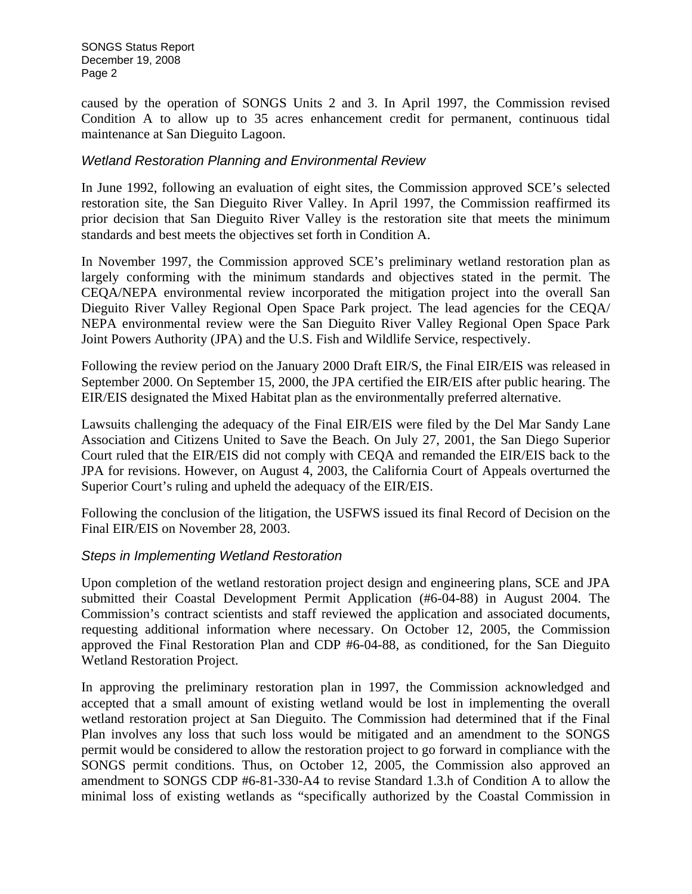caused by the operation of SONGS Units 2 and 3. In April 1997, the Commission revised Condition A to allow up to 35 acres enhancement credit for permanent, continuous tidal maintenance at San Dieguito Lagoon.

### *Wetland Restoration Planning and Environmental Review*

In June 1992, following an evaluation of eight sites, the Commission approved SCE's selected restoration site, the San Dieguito River Valley. In April 1997, the Commission reaffirmed its prior decision that San Dieguito River Valley is the restoration site that meets the minimum standards and best meets the objectives set forth in Condition A.

In November 1997, the Commission approved SCE's preliminary wetland restoration plan as largely conforming with the minimum standards and objectives stated in the permit. The CEQA/NEPA environmental review incorporated the mitigation project into the overall San Dieguito River Valley Regional Open Space Park project. The lead agencies for the CEQA/ NEPA environmental review were the San Dieguito River Valley Regional Open Space Park Joint Powers Authority (JPA) and the U.S. Fish and Wildlife Service, respectively.

Following the review period on the January 2000 Draft EIR/S, the Final EIR/EIS was released in September 2000. On September 15, 2000, the JPA certified the EIR/EIS after public hearing. The EIR/EIS designated the Mixed Habitat plan as the environmentally preferred alternative.

Lawsuits challenging the adequacy of the Final EIR/EIS were filed by the Del Mar Sandy Lane Association and Citizens United to Save the Beach. On July 27, 2001, the San Diego Superior Court ruled that the EIR/EIS did not comply with CEQA and remanded the EIR/EIS back to the JPA for revisions. However, on August 4, 2003, the California Court of Appeals overturned the Superior Court's ruling and upheld the adequacy of the EIR/EIS.

Following the conclusion of the litigation, the USFWS issued its final Record of Decision on the Final EIR/EIS on November 28, 2003.

### *Steps in Implementing Wetland Restoration*

Upon completion of the wetland restoration project design and engineering plans, SCE and JPA submitted their Coastal Development Permit Application (#6-04-88) in August 2004. The Commission's contract scientists and staff reviewed the application and associated documents, requesting additional information where necessary. On October 12, 2005, the Commission approved the Final Restoration Plan and CDP #6-04-88, as conditioned, for the San Dieguito Wetland Restoration Project.

In approving the preliminary restoration plan in 1997, the Commission acknowledged and accepted that a small amount of existing wetland would be lost in implementing the overall wetland restoration project at San Dieguito. The Commission had determined that if the Final Plan involves any loss that such loss would be mitigated and an amendment to the SONGS permit would be considered to allow the restoration project to go forward in compliance with the SONGS permit conditions. Thus, on October 12, 2005, the Commission also approved an amendment to SONGS CDP #6-81-330-A4 to revise Standard 1.3.h of Condition A to allow the minimal loss of existing wetlands as "specifically authorized by the Coastal Commission in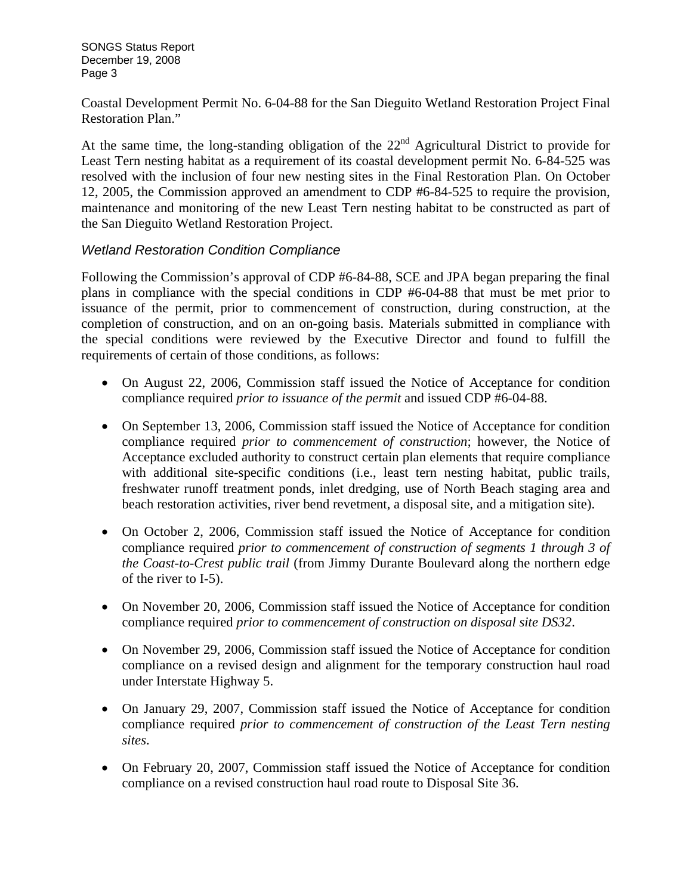Coastal Development Permit No. 6-04-88 for the San Dieguito Wetland Restoration Project Final Restoration Plan."

At the same time, the long-standing obligation of the  $22<sup>nd</sup>$  Agricultural District to provide for Least Tern nesting habitat as a requirement of its coastal development permit No. 6-84-525 was resolved with the inclusion of four new nesting sites in the Final Restoration Plan. On October 12, 2005, the Commission approved an amendment to CDP #6-84-525 to require the provision, maintenance and monitoring of the new Least Tern nesting habitat to be constructed as part of the San Dieguito Wetland Restoration Project.

### *Wetland Restoration Condition Compliance*

Following the Commission's approval of CDP #6-84-88, SCE and JPA began preparing the final plans in compliance with the special conditions in CDP #6-04-88 that must be met prior to issuance of the permit, prior to commencement of construction, during construction, at the completion of construction, and on an on-going basis. Materials submitted in compliance with the special conditions were reviewed by the Executive Director and found to fulfill the requirements of certain of those conditions, as follows:

- On August 22, 2006, Commission staff issued the Notice of Acceptance for condition compliance required *prior to issuance of the permit* and issued CDP #6-04-88.
- On September 13, 2006, Commission staff issued the Notice of Acceptance for condition compliance required *prior to commencement of construction*; however, the Notice of Acceptance excluded authority to construct certain plan elements that require compliance with additional site-specific conditions (i.e., least tern nesting habitat, public trails, freshwater runoff treatment ponds, inlet dredging, use of North Beach staging area and beach restoration activities, river bend revetment, a disposal site, and a mitigation site).
- On October 2, 2006, Commission staff issued the Notice of Acceptance for condition compliance required *prior to commencement of construction of segments 1 through 3 of the Coast-to-Crest public trail* (from Jimmy Durante Boulevard along the northern edge of the river to I-5).
- On November 20, 2006, Commission staff issued the Notice of Acceptance for condition compliance required *prior to commencement of construction on disposal site DS32*.
- On November 29, 2006, Commission staff issued the Notice of Acceptance for condition compliance on a revised design and alignment for the temporary construction haul road under Interstate Highway 5.
- On January 29, 2007, Commission staff issued the Notice of Acceptance for condition compliance required *prior to commencement of construction of the Least Tern nesting sites*.
- On February 20, 2007, Commission staff issued the Notice of Acceptance for condition compliance on a revised construction haul road route to Disposal Site 36.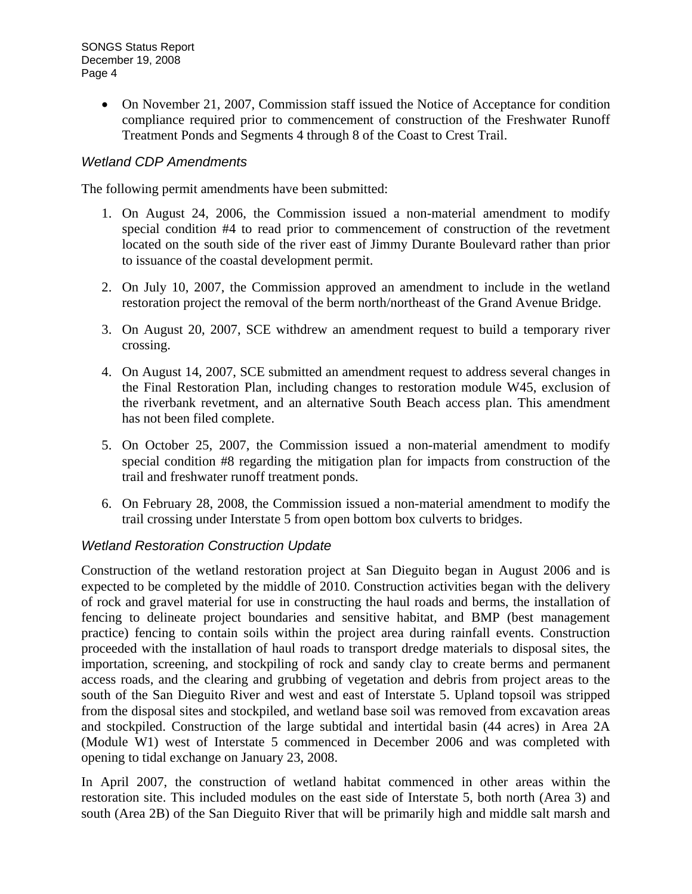• On November 21, 2007, Commission staff issued the Notice of Acceptance for condition compliance required prior to commencement of construction of the Freshwater Runoff Treatment Ponds and Segments 4 through 8 of the Coast to Crest Trail.

## *Wetland CDP Amendments*

The following permit amendments have been submitted:

- 1. On August 24, 2006, the Commission issued a non-material amendment to modify special condition #4 to read prior to commencement of construction of the revetment located on the south side of the river east of Jimmy Durante Boulevard rather than prior to issuance of the coastal development permit.
- 2. On July 10, 2007, the Commission approved an amendment to include in the wetland restoration project the removal of the berm north/northeast of the Grand Avenue Bridge.
- 3. On August 20, 2007, SCE withdrew an amendment request to build a temporary river crossing.
- 4. On August 14, 2007, SCE submitted an amendment request to address several changes in the Final Restoration Plan, including changes to restoration module W45, exclusion of the riverbank revetment, and an alternative South Beach access plan. This amendment has not been filed complete.
- 5. On October 25, 2007, the Commission issued a non-material amendment to modify special condition #8 regarding the mitigation plan for impacts from construction of the trail and freshwater runoff treatment ponds.
- 6. On February 28, 2008, the Commission issued a non-material amendment to modify the trail crossing under Interstate 5 from open bottom box culverts to bridges.

### *Wetland Restoration Construction Update*

Construction of the wetland restoration project at San Dieguito began in August 2006 and is expected to be completed by the middle of 2010. Construction activities began with the delivery of rock and gravel material for use in constructing the haul roads and berms, the installation of fencing to delineate project boundaries and sensitive habitat, and BMP (best management practice) fencing to contain soils within the project area during rainfall events. Construction proceeded with the installation of haul roads to transport dredge materials to disposal sites, the importation, screening, and stockpiling of rock and sandy clay to create berms and permanent access roads, and the clearing and grubbing of vegetation and debris from project areas to the south of the San Dieguito River and west and east of Interstate 5. Upland topsoil was stripped from the disposal sites and stockpiled, and wetland base soil was removed from excavation areas and stockpiled. Construction of the large subtidal and intertidal basin (44 acres) in Area 2A (Module W1) west of Interstate 5 commenced in December 2006 and was completed with opening to tidal exchange on January 23, 2008.

In April 2007, the construction of wetland habitat commenced in other areas within the restoration site. This included modules on the east side of Interstate 5, both north (Area 3) and south (Area 2B) of the San Dieguito River that will be primarily high and middle salt marsh and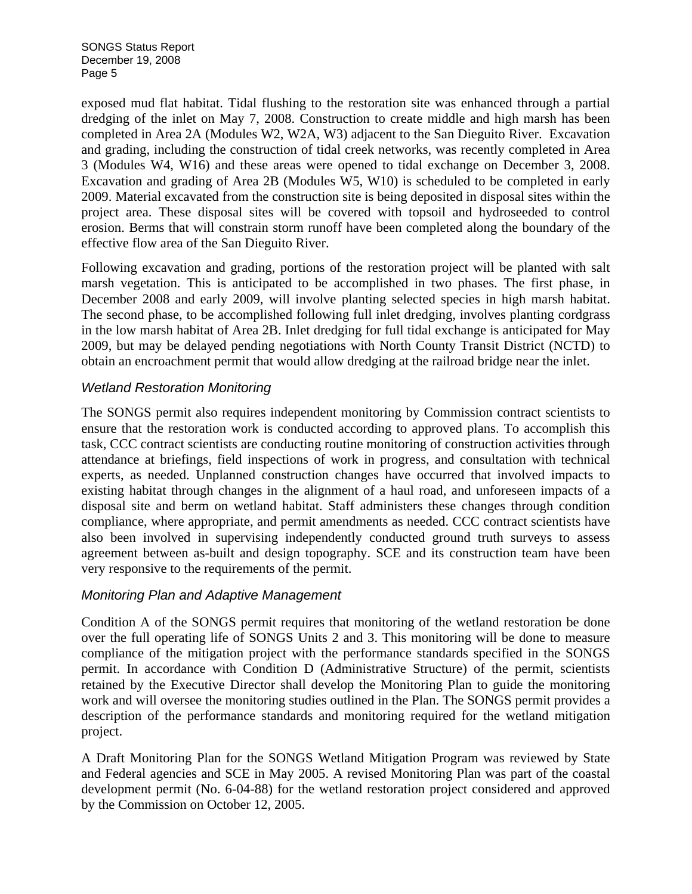exposed mud flat habitat. Tidal flushing to the restoration site was enhanced through a partial dredging of the inlet on May 7, 2008. Construction to create middle and high marsh has been completed in Area 2A (Modules W2, W2A, W3) adjacent to the San Dieguito River. Excavation and grading, including the construction of tidal creek networks, was recently completed in Area 3 (Modules W4, W16) and these areas were opened to tidal exchange on December 3, 2008. Excavation and grading of Area 2B (Modules W5, W10) is scheduled to be completed in early 2009. Material excavated from the construction site is being deposited in disposal sites within the project area. These disposal sites will be covered with topsoil and hydroseeded to control erosion. Berms that will constrain storm runoff have been completed along the boundary of the effective flow area of the San Dieguito River.

Following excavation and grading, portions of the restoration project will be planted with salt marsh vegetation. This is anticipated to be accomplished in two phases. The first phase, in December 2008 and early 2009, will involve planting selected species in high marsh habitat. The second phase, to be accomplished following full inlet dredging, involves planting cordgrass in the low marsh habitat of Area 2B. Inlet dredging for full tidal exchange is anticipated for May 2009, but may be delayed pending negotiations with North County Transit District (NCTD) to obtain an encroachment permit that would allow dredging at the railroad bridge near the inlet.

### *Wetland Restoration Monitoring*

The SONGS permit also requires independent monitoring by Commission contract scientists to ensure that the restoration work is conducted according to approved plans. To accomplish this task, CCC contract scientists are conducting routine monitoring of construction activities through attendance at briefings, field inspections of work in progress, and consultation with technical experts, as needed. Unplanned construction changes have occurred that involved impacts to existing habitat through changes in the alignment of a haul road, and unforeseen impacts of a disposal site and berm on wetland habitat. Staff administers these changes through condition compliance, where appropriate, and permit amendments as needed. CCC contract scientists have also been involved in supervising independently conducted ground truth surveys to assess agreement between as-built and design topography. SCE and its construction team have been very responsive to the requirements of the permit.

### *Monitoring Plan and Adaptive Management*

Condition A of the SONGS permit requires that monitoring of the wetland restoration be done over the full operating life of SONGS Units 2 and 3. This monitoring will be done to measure compliance of the mitigation project with the performance standards specified in the SONGS permit. In accordance with Condition D (Administrative Structure) of the permit, scientists retained by the Executive Director shall develop the Monitoring Plan to guide the monitoring work and will oversee the monitoring studies outlined in the Plan. The SONGS permit provides a description of the performance standards and monitoring required for the wetland mitigation project.

A Draft Monitoring Plan for the SONGS Wetland Mitigation Program was reviewed by State and Federal agencies and SCE in May 2005. A revised Monitoring Plan was part of the coastal development permit (No. 6-04-88) for the wetland restoration project considered and approved by the Commission on October 12, 2005.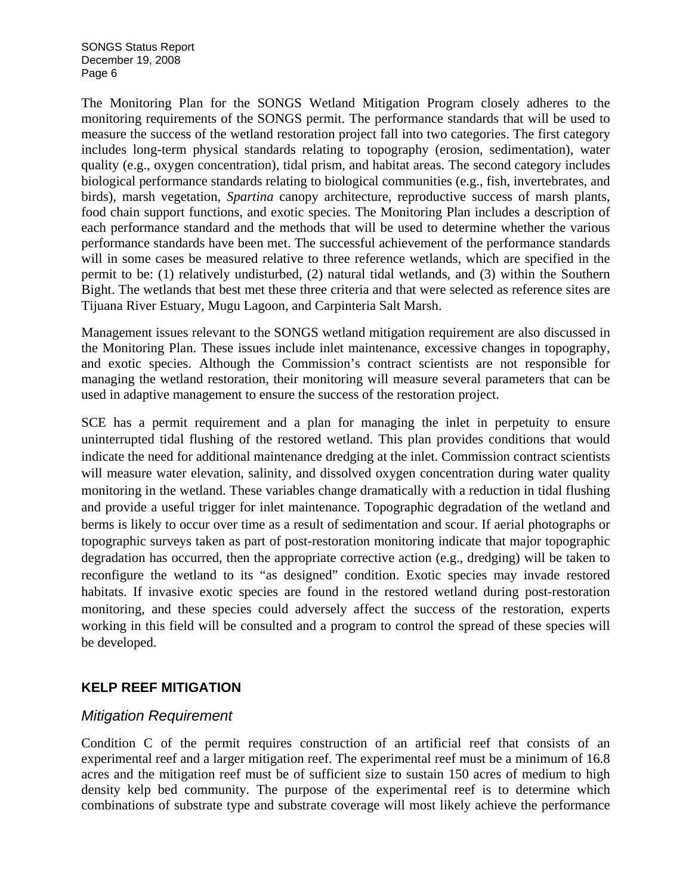The Monitoring Plan for the SONGS Wetland Mitigation Program closely adheres to the monitoring requirements of the SONGS permit. The performance standards that will be used to measure the success of the wetland restoration project fall into two categories. The first category includes long-term physical standards relating to topography (erosion, sedimentation), water quality (e.g., oxygen concentration), tidal prism, and habitat areas. The second category includes biological performance standards relating to biological communities (e.g., fish, invertebrates, and birds), marsh vegetation, *Spartina* canopy architecture, reproductive success of marsh plants, food chain support functions, and exotic species. The Monitoring Plan includes a description of each performance standard and the methods that will be used to determine whether the various performance standards have been met. The successful achievement of the performance standards will in some cases be measured relative to three reference wetlands, which are specified in the permit to be: (1) relatively undisturbed, (2) natural tidal wetlands, and (3) within the Southern Bight. The wetlands that best met these three criteria and that were selected as reference sites are Tijuana River Estuary, Mugu Lagoon, and Carpinteria Salt Marsh.

Management issues relevant to the SONGS wetland mitigation requirement are also discussed in the Monitoring Plan. These issues include inlet maintenance, excessive changes in topography, and exotic species. Although the Commission's contract scientists are not responsible for managing the wetland restoration, their monitoring will measure several parameters that can be used in adaptive management to ensure the success of the restoration project.

SCE has a permit requirement and a plan for managing the inlet in perpetuity to ensure uninterrupted tidal flushing of the restored wetland. This plan provides conditions that would indicate the need for additional maintenance dredging at the inlet. Commission contract scientists will measure water elevation, salinity, and dissolved oxygen concentration during water quality monitoring in the wetland. These variables change dramatically with a reduction in tidal flushing and provide a useful trigger for inlet maintenance. Topographic degradation of the wetland and berms is likely to occur over time as a result of sedimentation and scour. If aerial photographs or topographic surveys taken as part of post-restoration monitoring indicate that major topographic degradation has occurred, then the appropriate corrective action (e.g., dredging) will be taken to reconfigure the wetland to its "as designed" condition. Exotic species may invade restored habitats. If invasive exotic species are found in the restored wetland during post-restoration monitoring, and these species could adversely affect the success of the restoration, experts working in this field will be consulted and a program to control the spread of these species will be developed.

# **KELP REEF MITIGATION**

### *Mitigation Requirement*

Condition C of the permit requires construction of an artificial reef that consists of an experimental reef and a larger mitigation reef. The experimental reef must be a minimum of 16.8 acres and the mitigation reef must be of sufficient size to sustain 150 acres of medium to high density kelp bed community. The purpose of the experimental reef is to determine which combinations of substrate type and substrate coverage will most likely achieve the performance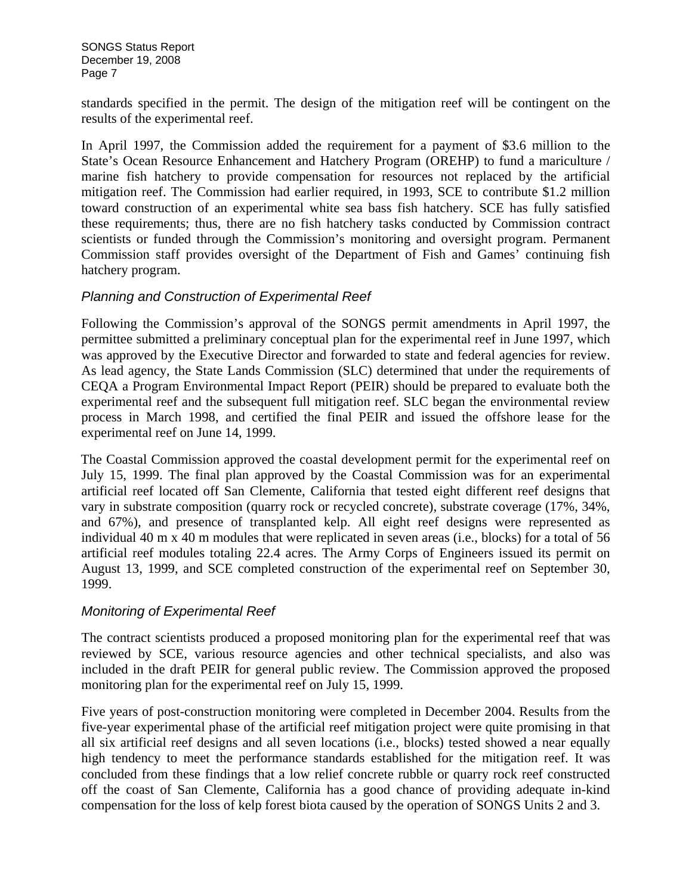standards specified in the permit. The design of the mitigation reef will be contingent on the results of the experimental reef.

In April 1997, the Commission added the requirement for a payment of \$3.6 million to the State's Ocean Resource Enhancement and Hatchery Program (OREHP) to fund a mariculture / marine fish hatchery to provide compensation for resources not replaced by the artificial mitigation reef. The Commission had earlier required, in 1993, SCE to contribute \$1.2 million toward construction of an experimental white sea bass fish hatchery. SCE has fully satisfied these requirements; thus, there are no fish hatchery tasks conducted by Commission contract scientists or funded through the Commission's monitoring and oversight program. Permanent Commission staff provides oversight of the Department of Fish and Games' continuing fish hatchery program.

### *Planning and Construction of Experimental Reef*

Following the Commission's approval of the SONGS permit amendments in April 1997, the permittee submitted a preliminary conceptual plan for the experimental reef in June 1997, which was approved by the Executive Director and forwarded to state and federal agencies for review. As lead agency, the State Lands Commission (SLC) determined that under the requirements of CEQA a Program Environmental Impact Report (PEIR) should be prepared to evaluate both the experimental reef and the subsequent full mitigation reef. SLC began the environmental review process in March 1998, and certified the final PEIR and issued the offshore lease for the experimental reef on June 14, 1999.

The Coastal Commission approved the coastal development permit for the experimental reef on July 15, 1999. The final plan approved by the Coastal Commission was for an experimental artificial reef located off San Clemente, California that tested eight different reef designs that vary in substrate composition (quarry rock or recycled concrete), substrate coverage (17%, 34%, and 67%), and presence of transplanted kelp. All eight reef designs were represented as individual 40 m x 40 m modules that were replicated in seven areas (i.e., blocks) for a total of 56 artificial reef modules totaling 22.4 acres. The Army Corps of Engineers issued its permit on August 13, 1999, and SCE completed construction of the experimental reef on September 30, 1999.

# *Monitoring of Experimental Reef*

The contract scientists produced a proposed monitoring plan for the experimental reef that was reviewed by SCE, various resource agencies and other technical specialists, and also was included in the draft PEIR for general public review. The Commission approved the proposed monitoring plan for the experimental reef on July 15, 1999.

Five years of post-construction monitoring were completed in December 2004. Results from the five-year experimental phase of the artificial reef mitigation project were quite promising in that all six artificial reef designs and all seven locations (i.e., blocks) tested showed a near equally high tendency to meet the performance standards established for the mitigation reef. It was concluded from these findings that a low relief concrete rubble or quarry rock reef constructed off the coast of San Clemente, California has a good chance of providing adequate in-kind compensation for the loss of kelp forest biota caused by the operation of SONGS Units 2 and 3.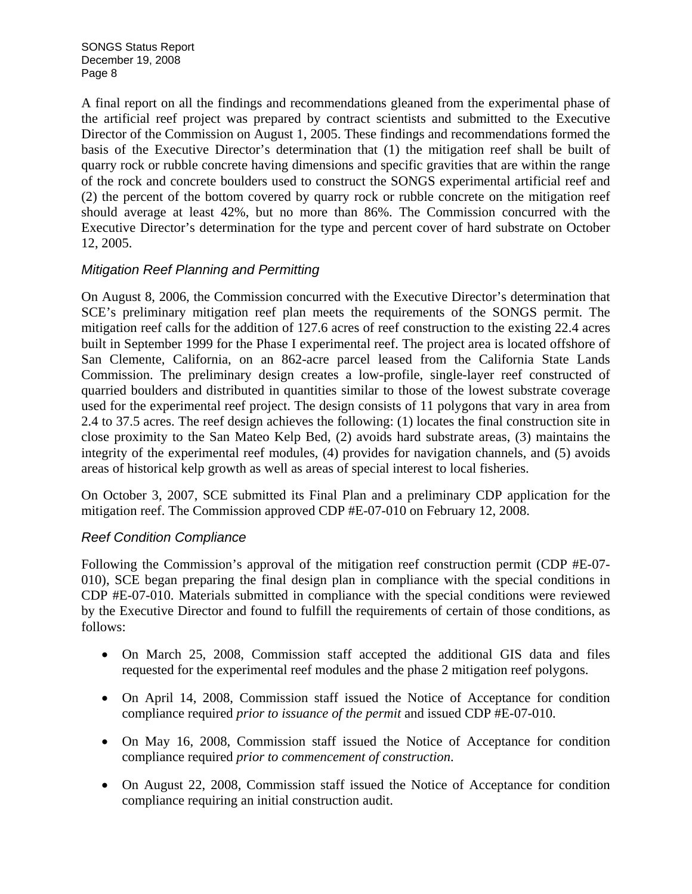A final report on all the findings and recommendations gleaned from the experimental phase of the artificial reef project was prepared by contract scientists and submitted to the Executive Director of the Commission on August 1, 2005. These findings and recommendations formed the basis of the Executive Director's determination that (1) the mitigation reef shall be built of quarry rock or rubble concrete having dimensions and specific gravities that are within the range of the rock and concrete boulders used to construct the SONGS experimental artificial reef and (2) the percent of the bottom covered by quarry rock or rubble concrete on the mitigation reef should average at least 42%, but no more than 86%. The Commission concurred with the Executive Director's determination for the type and percent cover of hard substrate on October 12, 2005.

## *Mitigation Reef Planning and Permitting*

On August 8, 2006, the Commission concurred with the Executive Director's determination that SCE's preliminary mitigation reef plan meets the requirements of the SONGS permit. The mitigation reef calls for the addition of 127.6 acres of reef construction to the existing 22.4 acres built in September 1999 for the Phase I experimental reef. The project area is located offshore of San Clemente, California, on an 862-acre parcel leased from the California State Lands Commission. The preliminary design creates a low-profile, single-layer reef constructed of quarried boulders and distributed in quantities similar to those of the lowest substrate coverage used for the experimental reef project. The design consists of 11 polygons that vary in area from 2.4 to 37.5 acres. The reef design achieves the following: (1) locates the final construction site in close proximity to the San Mateo Kelp Bed, (2) avoids hard substrate areas, (3) maintains the integrity of the experimental reef modules, (4) provides for navigation channels, and (5) avoids areas of historical kelp growth as well as areas of special interest to local fisheries.

On October 3, 2007, SCE submitted its Final Plan and a preliminary CDP application for the mitigation reef. The Commission approved CDP #E-07-010 on February 12, 2008.

# *Reef Condition Compliance*

Following the Commission's approval of the mitigation reef construction permit (CDP #E-07- 010), SCE began preparing the final design plan in compliance with the special conditions in CDP #E-07-010. Materials submitted in compliance with the special conditions were reviewed by the Executive Director and found to fulfill the requirements of certain of those conditions, as follows:

- On March 25, 2008, Commission staff accepted the additional GIS data and files requested for the experimental reef modules and the phase 2 mitigation reef polygons.
- On April 14, 2008, Commission staff issued the Notice of Acceptance for condition compliance required *prior to issuance of the permit* and issued CDP #E-07-010.
- On May 16, 2008, Commission staff issued the Notice of Acceptance for condition compliance required *prior to commencement of construction*.
- On August 22, 2008, Commission staff issued the Notice of Acceptance for condition compliance requiring an initial construction audit.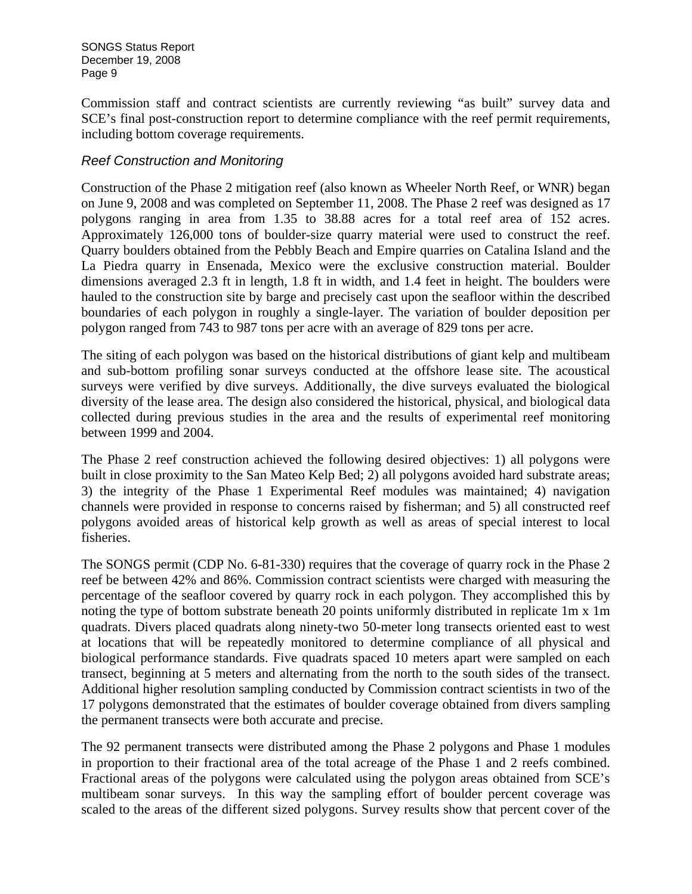Commission staff and contract scientists are currently reviewing "as built" survey data and SCE's final post-construction report to determine compliance with the reef permit requirements, including bottom coverage requirements.

## *Reef Construction and Monitoring*

Construction of the Phase 2 mitigation reef (also known as Wheeler North Reef, or WNR) began on June 9, 2008 and was completed on September 11, 2008. The Phase 2 reef was designed as 17 polygons ranging in area from 1.35 to 38.88 acres for a total reef area of 152 acres. Approximately 126,000 tons of boulder-size quarry material were used to construct the reef. Quarry boulders obtained from the Pebbly Beach and Empire quarries on Catalina Island and the La Piedra quarry in Ensenada, Mexico were the exclusive construction material. Boulder dimensions averaged 2.3 ft in length, 1.8 ft in width, and 1.4 feet in height. The boulders were hauled to the construction site by barge and precisely cast upon the seafloor within the described boundaries of each polygon in roughly a single-layer. The variation of boulder deposition per polygon ranged from 743 to 987 tons per acre with an average of 829 tons per acre.

The siting of each polygon was based on the historical distributions of giant kelp and multibeam and sub-bottom profiling sonar surveys conducted at the offshore lease site. The acoustical surveys were verified by dive surveys. Additionally, the dive surveys evaluated the biological diversity of the lease area. The design also considered the historical, physical, and biological data collected during previous studies in the area and the results of experimental reef monitoring between 1999 and 2004.

The Phase 2 reef construction achieved the following desired objectives: 1) all polygons were built in close proximity to the San Mateo Kelp Bed; 2) all polygons avoided hard substrate areas; 3) the integrity of the Phase 1 Experimental Reef modules was maintained; 4) navigation channels were provided in response to concerns raised by fisherman; and 5) all constructed reef polygons avoided areas of historical kelp growth as well as areas of special interest to local fisheries.

The SONGS permit (CDP No. 6-81-330) requires that the coverage of quarry rock in the Phase 2 reef be between 42% and 86%. Commission contract scientists were charged with measuring the percentage of the seafloor covered by quarry rock in each polygon. They accomplished this by noting the type of bottom substrate beneath 20 points uniformly distributed in replicate 1m x 1m quadrats. Divers placed quadrats along ninety-two 50-meter long transects oriented east to west at locations that will be repeatedly monitored to determine compliance of all physical and biological performance standards. Five quadrats spaced 10 meters apart were sampled on each transect, beginning at 5 meters and alternating from the north to the south sides of the transect. Additional higher resolution sampling conducted by Commission contract scientists in two of the 17 polygons demonstrated that the estimates of boulder coverage obtained from divers sampling the permanent transects were both accurate and precise.

The 92 permanent transects were distributed among the Phase 2 polygons and Phase 1 modules in proportion to their fractional area of the total acreage of the Phase 1 and 2 reefs combined. Fractional areas of the polygons were calculated using the polygon areas obtained from SCE's multibeam sonar surveys. In this way the sampling effort of boulder percent coverage was scaled to the areas of the different sized polygons. Survey results show that percent cover of the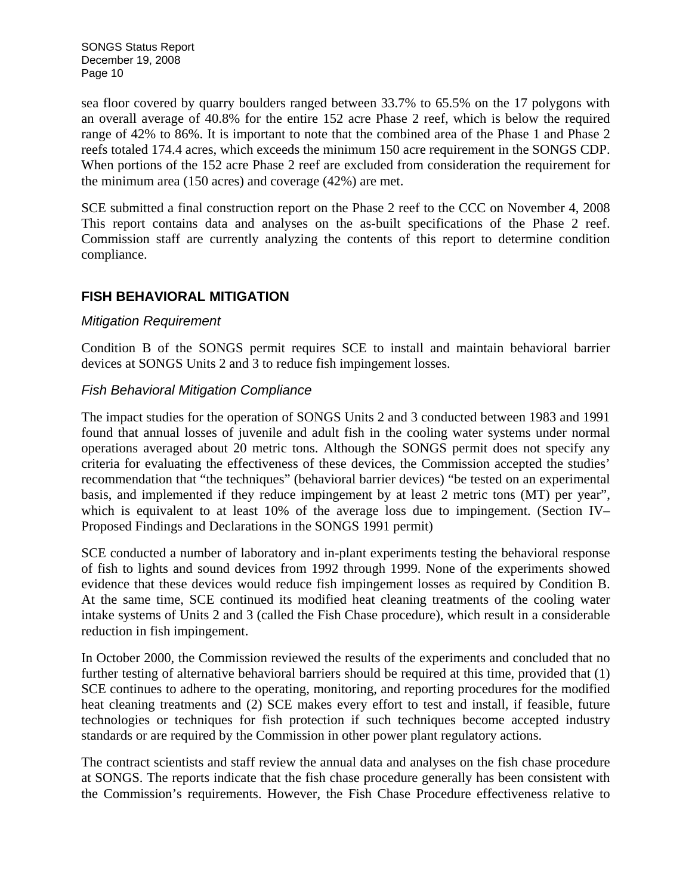sea floor covered by quarry boulders ranged between 33.7% to 65.5% on the 17 polygons with an overall average of 40.8% for the entire 152 acre Phase 2 reef, which is below the required range of 42% to 86%. It is important to note that the combined area of the Phase 1 and Phase 2 reefs totaled 174.4 acres, which exceeds the minimum 150 acre requirement in the SONGS CDP. When portions of the 152 acre Phase 2 reef are excluded from consideration the requirement for the minimum area (150 acres) and coverage (42%) are met.

SCE submitted a final construction report on the Phase 2 reef to the CCC on November 4, 2008 This report contains data and analyses on the as-built specifications of the Phase 2 reef. Commission staff are currently analyzing the contents of this report to determine condition compliance.

## **FISH BEHAVIORAL MITIGATION**

#### *Mitigation Requirement*

Condition B of the SONGS permit requires SCE to install and maintain behavioral barrier devices at SONGS Units 2 and 3 to reduce fish impingement losses.

### *Fish Behavioral Mitigation Compliance*

The impact studies for the operation of SONGS Units 2 and 3 conducted between 1983 and 1991 found that annual losses of juvenile and adult fish in the cooling water systems under normal operations averaged about 20 metric tons. Although the SONGS permit does not specify any criteria for evaluating the effectiveness of these devices, the Commission accepted the studies' recommendation that "the techniques" (behavioral barrier devices) "be tested on an experimental basis, and implemented if they reduce impingement by at least 2 metric tons (MT) per year", which is equivalent to at least 10% of the average loss due to impingement. (Section IV– Proposed Findings and Declarations in the SONGS 1991 permit)

SCE conducted a number of laboratory and in-plant experiments testing the behavioral response of fish to lights and sound devices from 1992 through 1999. None of the experiments showed evidence that these devices would reduce fish impingement losses as required by Condition B. At the same time, SCE continued its modified heat cleaning treatments of the cooling water intake systems of Units 2 and 3 (called the Fish Chase procedure), which result in a considerable reduction in fish impingement.

In October 2000, the Commission reviewed the results of the experiments and concluded that no further testing of alternative behavioral barriers should be required at this time, provided that (1) SCE continues to adhere to the operating, monitoring, and reporting procedures for the modified heat cleaning treatments and (2) SCE makes every effort to test and install, if feasible, future technologies or techniques for fish protection if such techniques become accepted industry standards or are required by the Commission in other power plant regulatory actions.

The contract scientists and staff review the annual data and analyses on the fish chase procedure at SONGS. The reports indicate that the fish chase procedure generally has been consistent with the Commission's requirements. However, the Fish Chase Procedure effectiveness relative to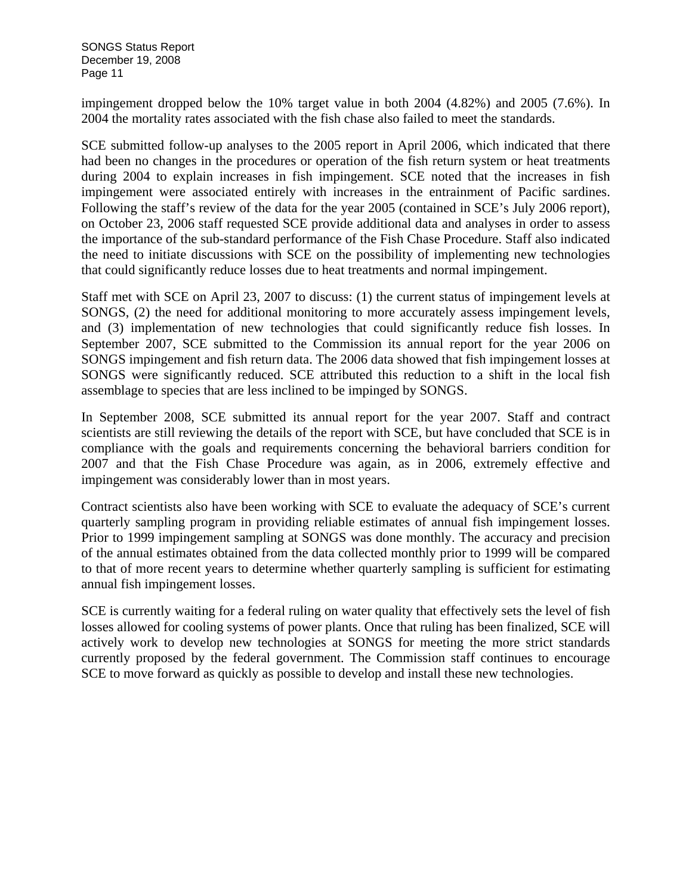impingement dropped below the 10% target value in both 2004 (4.82%) and 2005 (7.6%). In 2004 the mortality rates associated with the fish chase also failed to meet the standards.

SCE submitted follow-up analyses to the 2005 report in April 2006, which indicated that there had been no changes in the procedures or operation of the fish return system or heat treatments during 2004 to explain increases in fish impingement. SCE noted that the increases in fish impingement were associated entirely with increases in the entrainment of Pacific sardines. Following the staff's review of the data for the year 2005 (contained in SCE's July 2006 report), on October 23, 2006 staff requested SCE provide additional data and analyses in order to assess the importance of the sub-standard performance of the Fish Chase Procedure. Staff also indicated the need to initiate discussions with SCE on the possibility of implementing new technologies that could significantly reduce losses due to heat treatments and normal impingement.

Staff met with SCE on April 23, 2007 to discuss: (1) the current status of impingement levels at SONGS, (2) the need for additional monitoring to more accurately assess impingement levels, and (3) implementation of new technologies that could significantly reduce fish losses. In September 2007, SCE submitted to the Commission its annual report for the year 2006 on SONGS impingement and fish return data. The 2006 data showed that fish impingement losses at SONGS were significantly reduced. SCE attributed this reduction to a shift in the local fish assemblage to species that are less inclined to be impinged by SONGS.

In September 2008, SCE submitted its annual report for the year 2007. Staff and contract scientists are still reviewing the details of the report with SCE, but have concluded that SCE is in compliance with the goals and requirements concerning the behavioral barriers condition for 2007 and that the Fish Chase Procedure was again, as in 2006, extremely effective and impingement was considerably lower than in most years.

Contract scientists also have been working with SCE to evaluate the adequacy of SCE's current quarterly sampling program in providing reliable estimates of annual fish impingement losses. Prior to 1999 impingement sampling at SONGS was done monthly. The accuracy and precision of the annual estimates obtained from the data collected monthly prior to 1999 will be compared to that of more recent years to determine whether quarterly sampling is sufficient for estimating annual fish impingement losses.

SCE is currently waiting for a federal ruling on water quality that effectively sets the level of fish losses allowed for cooling systems of power plants. Once that ruling has been finalized, SCE will actively work to develop new technologies at SONGS for meeting the more strict standards currently proposed by the federal government. The Commission staff continues to encourage SCE to move forward as quickly as possible to develop and install these new technologies.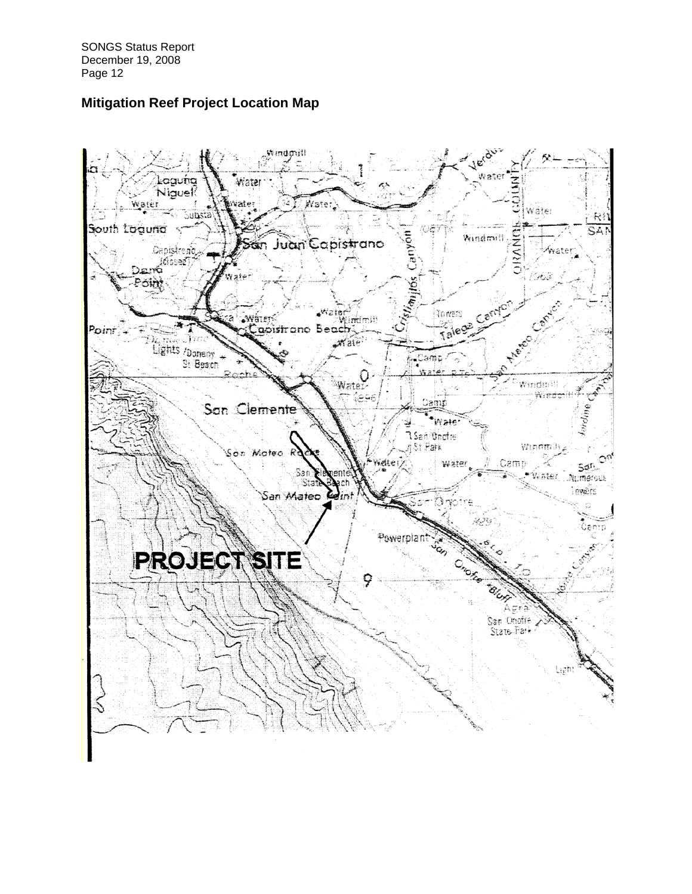# **Mitigation Reef Project Location Map**

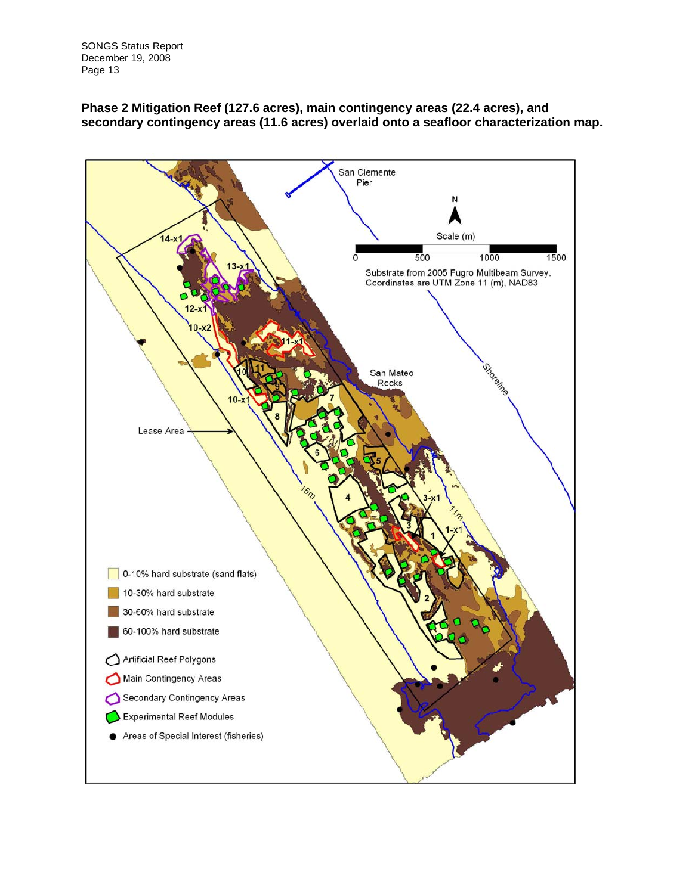

#### **Phase 2 Mitigation Reef (127.6 acres), main contingency areas (22.4 acres), and secondary contingency areas (11.6 acres) overlaid onto a seafloor characterization map.**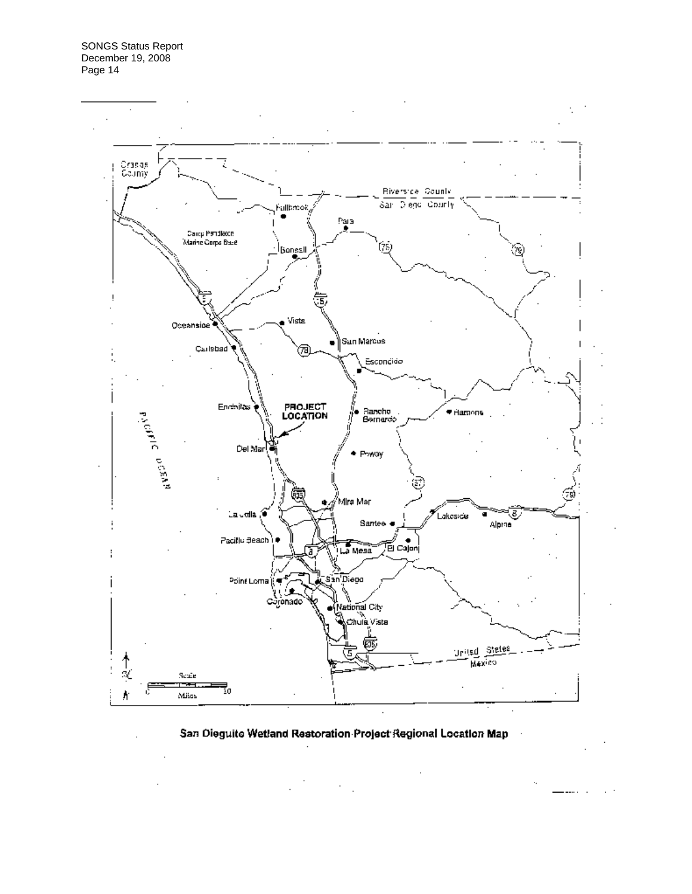

#### San Dieguite Wetland Restoration Project Regional Location Map

 $\cdot$